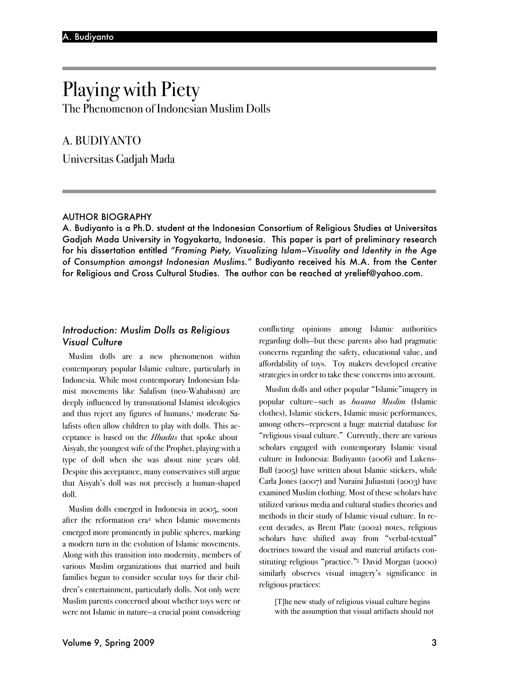# Playing with Piety The Phenomenon of Indonesian Muslim Dolls

# A. BUDIYANTO

Universitas Gadjah Mada

#### AUTHOR BIOGRAPHY

A. Budiyanto is a Ph.D. student at the Indonesian Consortium of Religious Studies at Universitas Gadjah Mada University in Yogyakarta, Indonesia. This paper is part of preliminary research for his dissertation entitled *"Framing Piety, Visualizing Islam–Visuality and Identity in the Age of Consumption amongst Indonesian Muslims."* Budiyanto received his M.A. from the Center for Religious and Cross Cultural Studies. The author can be reached at yrelief@yahoo.com.

# *Introduction: Muslim Dolls as Religious Visual Culture*

Muslim dolls are a new phenomenon within contemporary popular Islamic culture, particularly in Indonesia. While most contemporary Indonesian Islamist movements like Salafism (neo-Wahabism) are deeply influenced by transnational Islamist ideologies and thus reject any figures of humans,<sup>1</sup> moderate Salafists often allow children to play with dolls. This acceptance is based on the *Hhadits* that spoke about Aisyah, the youngest wife of the Prophet, playing with a type of doll when she was about nine years old. Despite this acceptance, many conservatives still argue that Aisyah's doll was not precisely a human-shaped doll.

Muslim dolls emerged in Indonesia in 2005, soon after the reformation era<sup>2</sup> when Islamic movements emerged more prominently in public spheres, marking a modern turn in the evolution of Islamic movements. Along with this transition into modernity, members of various Muslim organizations that married and built families began to consider secular toys for their children's entertainment, particularly dolls. Not only were Muslim parents concerned about whether toys were or were not Islamic in nature—a crucial point considering conflicting opinions among Islamic authorities regarding dolls—but these parents also had pragmatic concerns regarding the safety, educational value, and affordability of toys. Toy makers developed creative strategies in order to take these concerns into account.

Muslim dolls and other popular "Islamic"imagery in popular culture—such as *busana Muslim* (Islamic clothes), Islamic stickers, Islamic music performances, among others—represent a huge material database for "religious visual culture." Currently, there are various scholars engaged with contemporary Islamic visual culture in Indonesia: Budiyanto (2006) and Lukens-Bull (2005) have written about Islamic stickers, while Carla Jones (2007) and Nuraini Juliastuti (2003) have examined Muslim clothing. Most of these scholars have utilized various media and cultural studies theories and methods in their study of Islamic visual culture. In recent decades, as Brent Plate (2002) notes, religious scholars have shifted away from "verbal-textual" doctrines toward the visual and material artifacts constituting religious "practice."3 David Morgan (2000) similarly observes visual imagery's significance in religious practices:

[T]he new study of religious visual culture begins with the assumption that visual artifacts should not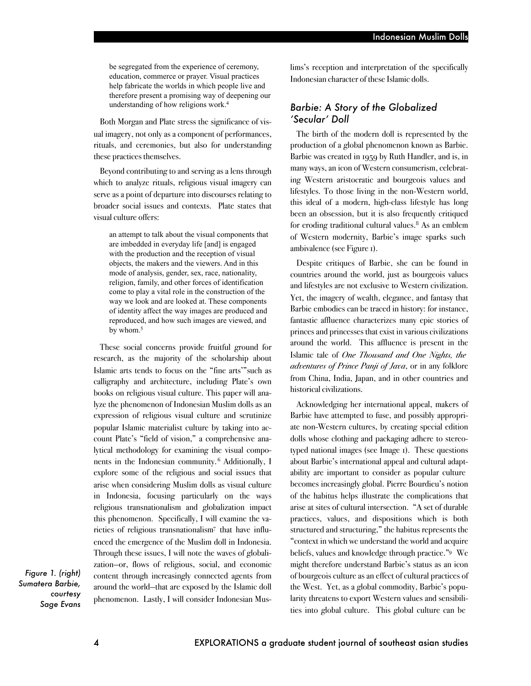be segregated from the experience of ceremony, education, commerce or prayer. Visual practices help fabricate the worlds in which people live and therefore present a promising way of deepening our understanding of how religions work.4

Both Morgan and Plate stress the significance of visual imagery, not only as a component of performances, rituals, and ceremonies, but also for understanding these practices themselves.

Beyond contributing to and serving as a lens through which to analyze rituals, religious visual imagery can serve as a point of departure into discourses relating to broader social issues and contexts. Plate states that visual culture offers:

an attempt to talk about the visual components that are imbedded in everyday life [and] is engaged with the production and the reception of visual objects, the makers and the viewers. And in this mode of analysis, gender, sex, race, nationality, religion, family, and other forces of identification come to play a vital role in the construction of the way we look and are looked at. These components of identity affect the way images are produced and reproduced, and how such images are viewed, and by whom.<sup>5</sup>

These social concerns provide fruitful ground for research, as the majority of the scholarship about Islamic arts tends to focus on the "fine arts'"such as calligraphy and architecture, including Plate's own books on religious visual culture. This paper will analyze the phenomenon of Indonesian Muslim dolls as an expression of religious visual culture and scrutinize popular Islamic materialist culture by taking into account Plate's "field of vision," a comprehensive analytical methodology for examining the visual components in the Indonesian community. <sup>6</sup> Additionally, I explore some of the religious and social issues that arise when considering Muslim dolls as visual culture in Indonesia, focusing particularly on the ways religious transnationalism and globalization impact this phenomenon. Specifically, I will examine the varieties of religious transnationalism<sup>7</sup> that have influenced the emergence of the Muslim doll in Indonesia. Through these issues, I will note the waves of globalization—or, flows of religious, social, and economic content through increasingly connected agents from around the world—that are exposed by the Islamic doll phenomenon. Lastly, I will consider Indonesian Mus-

*Figure 1. (right) Sumatera Barbie, courtesy Sage Evans* lims's reception and interpretation of the specifically Indonesian character of these Islamic dolls.

# *Barbie: A Story of the Globalized 'Secular' Doll*

The birth of the modern doll is represented by the production of a global phenomenon known as Barbie. Barbie was created in 1959 by Ruth Handler, and is, in many ways, an icon of Western consumerism, celebrating Western aristocratic and bourgeois values and lifestyles. To those living in the non-Western world, this ideal of a modern, high-class lifestyle has long been an obsession, but it is also frequently critiqued for eroding traditional cultural values.8 As an emblem of Western modernity, Barbie's image sparks such ambivalence (see Figure 1).

Despite critiques of Barbie, she can be found in countries around the world, just as bourgeois values and lifestyles are not exclusive to Western civilization. Yet, the imagery of wealth, elegance, and fantasy that Barbie embodies can be traced in history: for instance, fantastic affluence characterizes many epic stories of princes and princesses that exist in various civilizations around the world. This affluence is present in the Islamic tale of *One Thousand and One Nights, the adventures of Prince Panji of Java*, or in any folklore from China, India, Japan, and in other countries and historical civilizations.

Acknowledging her international appeal, makers of Barbie have attempted to fuse, and possibly appropriate non-Western cultures, by creating special edition dolls whose clothing and packaging adhere to stereotyped national images (see Image 1). These questions about Barbie's international appeal and cultural adaptability are important to consider as popular culture becomes increasingly global. Pierre Bourdieu's notion of the habitus helps illustrate the complications that arise at sites of cultural intersection. "A set of durable practices, values, and dispositions which is both structured and structuring," the habitus represents the "context in which we understand the world and acquire beliefs, values and knowledge through practice."9 We might therefore understand Barbie's status as an icon of bourgeois culture as an effect of cultural practices of the West. Yet, as a global commodity, Barbie's popularity threatens to export Western values and sensibilities into global culture. This global culture can be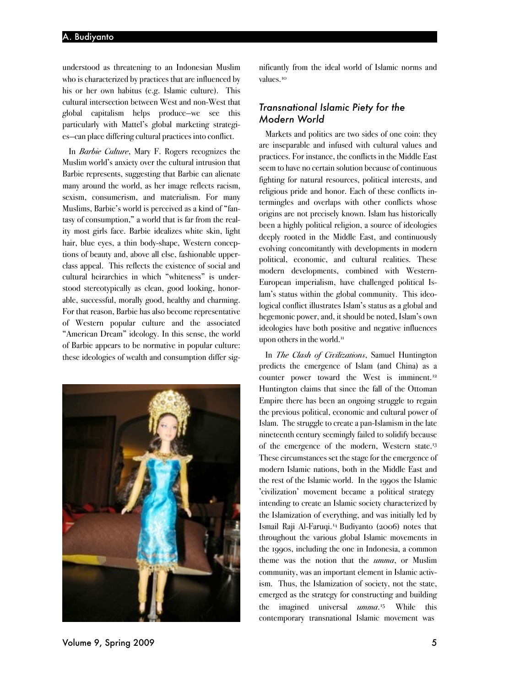understood as threatening to an Indonesian Muslim who is characterized by practices that are influenced by his or her own habitus (e.g. Islamic culture). This cultural intersection between West and non-West that global capitalism helps produce—we see this particularly with Mattel's global marketing strategies—can place differing cultural practices into conflict.

In *Barbie Culture*, Mary F. Rogers recognizes the Muslim world's anxiety over the cultural intrusion that Barbie represents, suggesting that Barbie can alienate many around the world, as her image reflects racism, sexism, consumerism, and materialism. For many Muslims, Barbie's world is perceived as a kind of "fantasy of consumption," a world that is far from the reality most girls face. Barbie idealizes white skin, light hair, blue eyes, a thin body-shape, Western conceptions of beauty and, above all else, fashionable upperclass appeal. This reflects the existence of social and cultural heirarchies in which "whiteness" is understood stereotypically as clean, good looking, honorable, successful, morally good, healthy and charming. For that reason, Barbie has also become representative of Western popular culture and the associated "American Dream" ideology. In this sense, the world of Barbie appears to be normative in popular culture: these ideologies of wealth and consumption differ sig-



nificantly from the ideal world of Islamic norms and values.<sup>10</sup>

### *Transnational Islamic Piety for the Modern World*

Markets and politics are two sides of one coin: they are inseparable and infused with cultural values and practices. For instance, the conflicts in the Middle East seem to have no certain solution because of continuous fighting for natural resources, political interests, and religious pride and honor. Each of these conflicts intermingles and overlaps with other conflicts whose origins are not precisely known. Islam has historically been a highly political religion, a source of ideologies deeply rooted in the Middle East, and continuously evolving concomitantly with developments in modern political, economic, and cultural realities. These modern developments, combined with Western-European imperialism, have challenged political Islam's status within the global community. This ideological conflict illustrates Islam's status as a global and hegemonic power, and, it should be noted, Islam's own ideologies have both positive and negative influences upon others in the world.<sup>11</sup>

In *The Clash of Civilizations*, Samuel Huntington predicts the emergence of Islam (and China) as a counter power toward the West is imminent.<sup>12</sup> Huntington claims that since the fall of the Ottoman Empire there has been an ongoing struggle to regain the previous political, economic and cultural power of Islam. The struggle to create a pan-Islamism in the late nineteenth century seemingly failed to solidify because of the emergence of the modern, Western state.13 These circumstances set the stage for the emergence of modern Islamic nations, both in the Middle East and the rest of the Islamic world. In the 1990s the Islamic 'civilization' movement became a political strategy intending to create an Islamic society characterized by the Islamization of everything, and was initially led by Ismail Raji Al-Faruqi.14 Budiyanto (2006) notes that throughout the various global Islamic movements in the 1990s, including the one in Indonesia, a common theme was the notion that the *umma*, or Muslim community, was an important element in Islamic activism. Thus, the Islamization of society, not the state, emerged as the strategy for constructing and building the imagined universal *umma*.15 While this contemporary transnational Islamic movement was

Volume 9, Spring 2009 5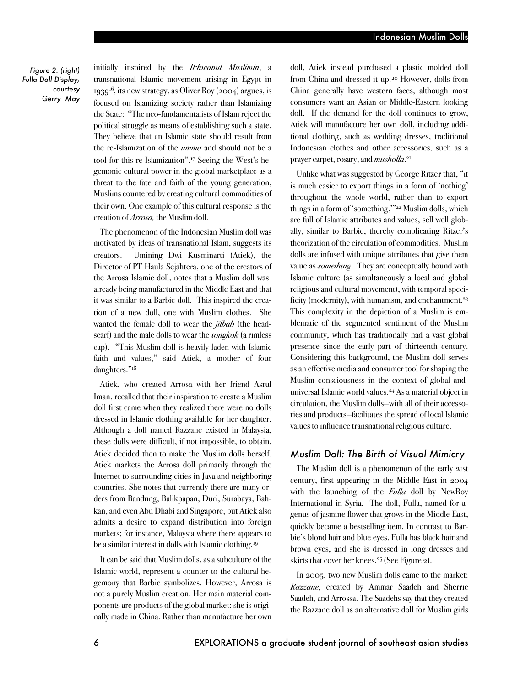*Figure 2. (right) Fulla Doll Display, courtesy Gerry May*

initially inspired by the *Ikhwanul Muslimin*, a transnational Islamic movement arising in Egypt in 1939<sup>16</sup>, its new strategy, as Oliver Roy (2004) argues, is focused on Islamizing society rather than Islamizing the State: "The neo-fundamentalists of Islam reject the political struggle as means of establishing such a state. They believe that an Islamic state should result from the re-Islamization of the *umma* and should not be a tool for this re-Islamization".17 Seeing the West's hegemonic cultural power in the global marketplace as a threat to the fate and faith of the young generation, Muslims countered by creating cultural commodities of their own. One example of this cultural response is the creation of *Arrosa,* the Muslim doll.

The phenomenon of the Indonesian Muslim doll was motivated by ideas of transnational Islam, suggests its creators. Umining Dwi Kusminarti (Atiek), the Director of PT Haula Sejahtera, one of the creators of the Arrosa Islamic doll, notes that a Muslim doll was already being manufactured in the Middle Eastand that it was similar to a Barbie doll. This inspired the creation of a new doll, one with Muslim clothes. She wanted the female doll to wear the *jilbab* (the headscarf) and the male dolls to wear the *songkok* (a rimless cap). "This Muslim doll is heavily laden with Islamic faith and values," said Atiek, a mother of four daughters."18

Atiek, who created Arrosa with her friend Asrul Iman, recalled that their inspiration to create a Muslim doll first came when they realized there were no dolls dressed in Islamic clothing available for her daughter. Although a doll named Razzane existed in Malaysia, these dolls were difficult, if not impossible, to obtain. Atiek decided then to make the Muslim dolls herself. Atiek markets the Arrosa doll primarily through the Internet to surrounding cities in Java and neighboring countries. She notes that currently there are many orders from Bandung, Balikpapan, Duri, Surabaya, Bahkan, and even Abu Dhabi and Singapore, but Atiek also admits a desire to expand distribution into foreign markets; for instance, Malaysia where there appears to be a similar interest in dolls with Islamic clothing.19

It can be said that Muslim dolls, as a subculture of the Islamic world, represent a counter to the cultural hegemony that Barbie symbolizes. However, Arrosa is not a purely Muslim creation. Her main material components are products of the global market: she is originally made in China. Rather than manufacture her own doll, Atiek instead purchased a plastic molded doll from China and dressed it up.<sup>20</sup> However, dolls from China generally have western faces, although most consumers want an Asian or Middle-Eastern looking doll. If the demand for the doll continues to grow, Atiek will manufacture her own doll, including additional clothing, such as wedding dresses, traditional Indonesian clothes and other accessories, such as a prayer carpet, rosary, and *musholla*. 21

Unlike what was suggested by George Ritze**r** that, "it is much easier to export things in a form of 'nothing' throughout the whole world, rather than to export things in a form of 'something,'"22 Muslim dolls, which are full of Islamic attributes and values, sell well globally, similar to Barbie, thereby complicating Ritzer's theorization of the circulation of commodities. Muslim dolls are infused with unique attributes that give them value as *something*. They are conceptually bound with Islamic culture (as simultaneously a local and global religious and cultural movement), with temporal specificity (modernity), with humanism, and enchantment.<sup>23</sup> This complexity in the depiction of a Muslim is emblematic of the segmented sentiment of the Muslim community, which has traditionally had a vast global presence since the early part of thirteenth century. Considering this background, the Muslim doll serves asan effective mediaand consumer tool for shaping the Muslim consciousness in the context of global and universal Islamic world values.24 As a material object in circulation, the Muslim dolls—with all of their accessories and products—facilitates the spread of local Islamic values to influence transnational religious culture.

#### *Muslim Doll: The Birth of Visual Mimicry*

The Muslim doll is a phenomenon of the early 21st century, first appearing in the Middle East in 2004 with the launching of the *Fulla* doll by NewBoy International in Syria. The doll, Fulla, named for a genus of jasmine flower that grows in the Middle East, quickly became a bestselling item. In contrast to Barbie's blond hair and blue eyes, Fulla has black hair and brown eyes, and she is dressed in long dresses and skirts that cover her knees.25 (See Figure 2).

In 2005, two new Muslim dolls came to the market: *Razzane*, created by Ammar Saadeh and Sherrie Saadeh, and Arrossa. The Saadehs say that they created the Razzane doll as an alternative doll for Muslim girls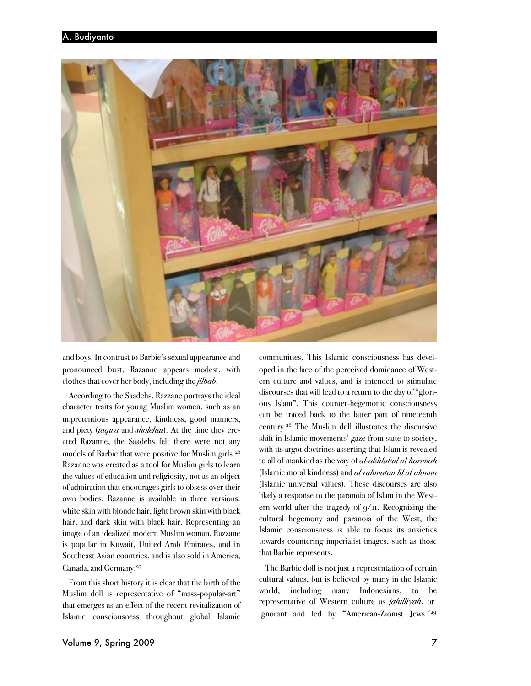

and boys. In contrast to Barbie's sexual appearance and pronounced bust, Razanne appears modest, with clothes that cover her body, including the *jilbab*.

According to the Saadehs, Razzane portrays the ideal character traits for young Muslim women, such as an unpretentious appearance, kindness, good manners, and piety (*taqwa* and *sholehat*). At the time they created Razanne, the Saadehs felt there were not any models of Barbie that were positive for Muslim girls.<sup>26</sup> Razanne was created as a tool for Muslim girls to learn the values of education and religiosity, not as an object of admiration that encourages girls to obsess over their own bodies. Razanne is available in three versions: white skin with blonde hair, light brown skin with black hair, and dark skin with black hair. Representing an image of an idealized modern Muslim woman, Razzane is popular in Kuwait, United Arab Emirates, and in Southeast Asian countries, and is also sold in America, Canada, and Germany.27

From this short history it is clear that the birth of the Muslim doll is representative of "mass-popular-art" that emerges as an effect of the recent revitalization of Islamic consciousness throughout global Islamic

communities. This Islamic consciousness has developed in the face of the perceived dominance of Western culture and values, and is intended to stimulate discourses that will lead to a return to the day of "glorious Islam". This counter-hegemonic consciousness can be traced back to the latter part of nineteenth century.28 The Muslim doll illustrates the discursive shift in Islamic movements' gaze from state to society, with its argot doctrines asserting that Islam is revealed to all of mankind as the way of *al*-*akhlakul al-karimah* (Islamic moral kindness) and *al-rahmatan lil al-alamin*  (Islamic universal values). These discourses are also likely a response to the paranoia of Islam in the Western world after the tragedy of  $q/\pi$ . Recognizing the cultural hegemony and paranoia of the West, the Islamic consciousness is able to focus its anxieties towards countering imperialist images, such as those that Barbie represents.

The Barbie doll is not just a representation of certain cultural values, but is believed by many in the Islamic world, including many Indonesians, to be representative of Western culture as *jahilliyah*, or ignorant and led by "American-Zionist Jews."29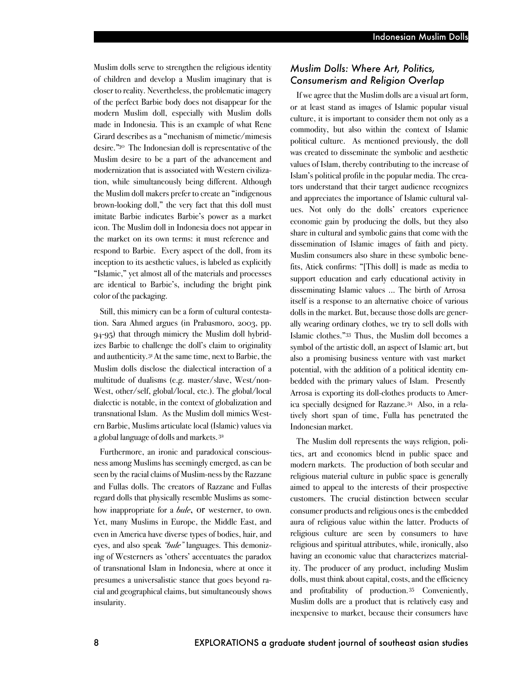Muslim dolls serve to strengthen the religious identity of children and develop a Muslim imaginary that is closer to reality. Nevertheless, the problematic imagery of the perfect Barbie body does not disappear for the modern Muslim doll, especially with Muslim dolls made in Indonesia. This is an example of what Rene Girard describes as a "mechanism of mimetic/mimesis desire."30 The Indonesian doll is representative of the Muslim desire to be a part of the advancement and modernization that is associated with Western civilization, while simultaneously being different. Although the Muslim doll makers prefer to create an "indigenous brown-looking doll," the very fact that this doll must imitate Barbie indicates Barbie's power as a market icon. The Muslim doll in Indonesia does not appear in the market on its own terms: it must reference and respond to Barbie. Every aspect of the doll, from its inception to its aesthetic values, is labeled as explicitly "Islamic," yet almost all of the materials and processes are identical to Barbie's, including the bright pink color of the packaging.

Still, this mimicry can be a form of cultural contestation. Sara Ahmed argues (in Prabasmoro, 2003, pp. 94-95) that through mimicry the Muslim doll hybridizes Barbie to challenge the doll's claim to originality and authenticity.31 At the same time, next to Barbie, the Muslim dolls disclose the dialectical interaction of a multitude of dualisms (e.g. master/slave, West/non-West, other/self, global/local, etc.). The global/local dialectic is notable, in the context of globalization and transnational Islam. As the Muslim doll mimics Western Barbie, Muslims articulate local (Islamic) values via a global language of dolls and markets.<sup>32</sup>

Furthermore, an ironic and paradoxical consciousness among Muslims has seemingly emerged, as can be seen by the racial claims of Muslim-ness by the Razzane and Fullas dolls. The creators of Razzane and Fullas regard dolls that physically resemble Muslims as somehow inappropriate for a *bule*, or westerner, to own. Yet, many Muslims in Europe, the Middle East, and even in America have diverse types of bodies, hair, and eyes, and also speak *"bule"* languages. This demonizing of Westerners as 'others' accentuates the paradox of transnational Islam in Indonesia, where at once it presumes a universalistic stance that goes beyond racial and geographical claims, but simultaneously shows insularity.

# *Muslim Dolls: Where Art, Politics, Consumerism and Religion Overlap*

If we agree that the Muslim dollsare avisualart form, or at least stand as images of Islamic popular visual culture, it is important to consider them not only as a commodity, but also within the context of Islamic political culture. As mentioned previously, the doll was created to disseminate the symbolic and aesthetic values of Islam, thereby contributing to the increase of Islam's political profile in the popular media. The creators understand that their target audience recognizes and appreciates the importance of Islamic cultural values. Not only do the dolls' creators experience economic gain by producing the dolls, but they also share in cultural and symbolic gains that come with the dissemination of Islamic images of faith and piety. Muslim consumers also share in these symbolic benefits, Atiek confirms: "[This doll] is made as media to support education and early educational activity in disseminating Islamic values ... The birth of Arrosa itself is a response to an alternative choice of various dolls in the market. But, because those dolls are generally wearing ordinary clothes, we try to sell dolls with Islamic clothes."33 Thus, the Muslim doll becomes a symbol of the artistic doll, an aspect of Islamic art, but also a promising business venture with vast market potential, with the addition of a political identity embedded with the primary values of Islam. Presently Arrosa is exporting its doll-clothes products to America specially designed for Razzane.34 Also, in a relatively short span of time, Fulla has penetrated the Indonesian market.

The Muslim doll represents the ways religion, politics, art and economics blend in public space and modern markets. The production of both secular and religious material culture in public space is generally aimed to appeal to the interests of their prospective customers. The crucial distinction between secular consumer productsand religious ones is the embedded aura of religious value within the latter. Products of religious culture are seen by consumers to have religious and spiritual attributes, while, ironically, also having an economic value that characterizes materiality. The producer of any product, including Muslim dolls, must think about capital, costs, and the efficiency and profitability of production. <sup>35</sup> Conveniently, Muslim dolls are a product that is relatively easy and inexpensive to market, because their consumers have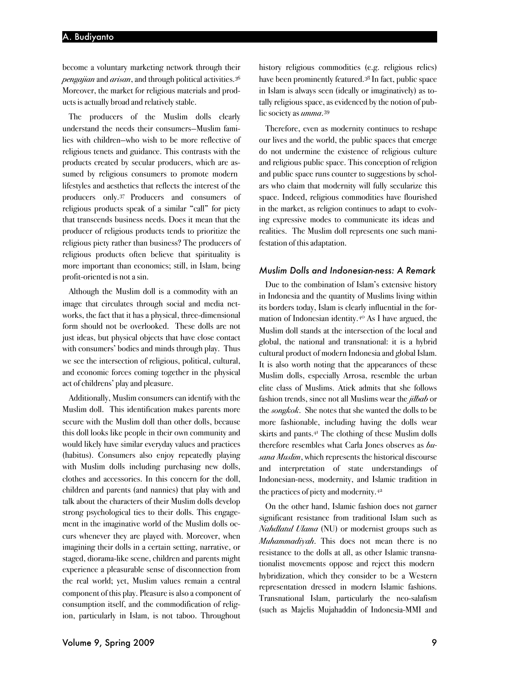become a voluntary marketing network through their *pengajian* and *arisan*, and through political activities.<sup>36</sup> Moreover, the market for religious materials and products is actually broad and relatively stable.

The producers of the Muslim dolls clearly understand the needs their consumers—Muslim families with children—who wish to be more reflective of religious tenets and guidance. This contrasts with the products created by secular producers, which are assumed by religious consumers to promote modern lifestyles and aesthetics that reflects the interest of the producers only.37 Producers and consumers of religious products speak of a similar "call" for piety that transcends business needs. Does it mean that the producer of religious products tends to prioritize the religious piety rather than business? The producers of religious products often believe that spirituality is more important than economics; still, in Islam, being profit-oriented is not a sin.

Although the Muslim doll is a commodity with an image that circulates through social and media networks, the fact that it has a physical, three-dimensional form should not be overlooked. These dolls are not just ideas, but physical objects that have close contact with consumers' bodies and minds through play. Thus we see the intersection of religious, political, cultural, and economic forces coming together in the physical act of childrens' play and pleasure.

Additionally, Muslim consumers can identify with the Muslim doll. This identification makes parents more secure with the Muslim doll than other dolls, because this doll looks like people in their own community and would likely have similar everyday values and practices (habitus). Consumers also enjoy repeatedly playing with Muslim dolls including purchasing new dolls, clothes and accessories. In this concern for the doll, children and parents (and nannies) that play with and talk about the characters of their Muslim dolls develop strong psychological ties to their dolls. This engagement in the imaginative world of the Muslim dolls occurs whenever they are played with. Moreover, when imagining their dolls in a certain setting, narrative, or staged, diorama-like scene, children and parents might experience a pleasurable sense of disconnection from the real world; yet, Muslim values remain a central component of this play. Pleasure is also a component of consumption itself, and the commodification of religion, particularly in Islam, is not taboo. Throughout

history religious commodities (e.g. religious relics) have been prominently featured.38 In fact, public space in Islam is always seen (ideally or imaginatively) as totally religious space, as evidenced by the notion of public society as *umma*.39

Therefore, even as modernity continues to reshape our lives and the world, the public spaces that emerge do not undermine the existence of religious culture and religious public space. This conception of religion and public space runs counter to suggestions by scholars who claim that modernity will fully secularize this space. Indeed, religious commodities have flourished in the market, as religion continues to adapt to evolving expressive modes to communicate its ideas and realities. The Muslim doll represents one such manifestation of this adaptation.

#### *Muslim Dolls and Indonesian-ness: A Remark*

Due to the combination of Islam's extensive history in Indonesia and the quantity of Muslims living within its borders today, Islam is clearly influential in the formation of Indonesian identity.40 As I have argued, the Muslim doll stands at the intersection of the local and global, the national and transnational: it is a hybrid cultural product of modern Indonesia and global Islam. It is also worth noting that the appearances of these Muslim dolls, especially Arrosa, resemble the urban elite class of Muslims. Atiek admits that she follows fashion trends, since not all Muslims wear the *jilbab* or the *songkok*. She notes that she wanted the dolls to be more fashionable, including having the dolls wear skirts and pants.41 The clothing of these Muslim dolls therefore resembles what Carla Jones observes as *busana Muslim*, which represents the historical discourse and interpretation of state understandings of Indonesian-ness, modernity, and Islamic tradition in the practices of piety and modernity.42

On the other hand, Islamic fashion does not garner significant resistance from traditional Islam such as *Nahdlatul Ulama* (NU) or modernist groups such as *Muhammadiyah*. This does not mean there is no resistance to the dolls at all, as other Islamic transnationalist movements oppose and reject this modern hybridization, which they consider to be a Western representation dressed in modern Islamic fashions. Transnational Islam, particularly the neo-salafism (such as Majelis Mujahaddin of Indonesia-MMI and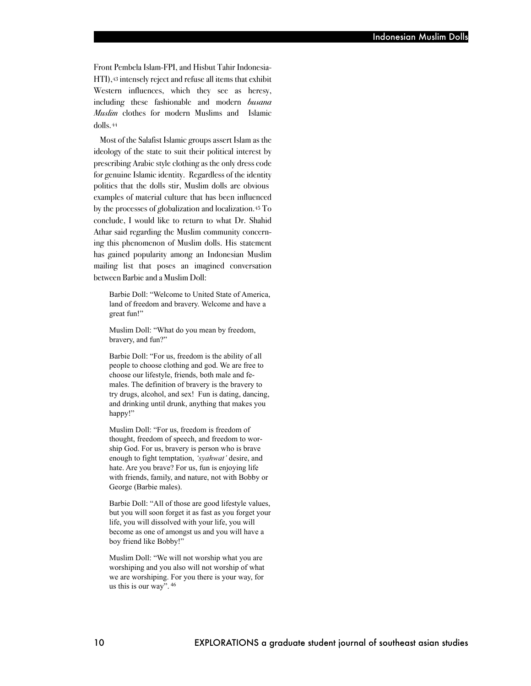Front Pembela Islam-FPI, and Hisbut Tahir Indonesia-HTI),43 intensely reject and refuse all items that exhibit Western influences, which they see as heresy, including these fashionable and modern *busana Muslim* clothes for modern Muslims and Islamic dolls.44

Most of the Salafist Islamic groups assert Islam as the ideology of the state to suit their political interest by prescribing Arabic style clothing as the only dress code for genuine Islamic identity. Regardless of the identity politics that the dolls stir, Muslim dolls are obvious examples of material culture that has been influenced by the processes of globalization and localization.45 To conclude, I would like to return to what Dr. Shahid Athar said regarding the Muslim community concerning this phenomenon of Muslim dolls. His statement has gained popularity among an Indonesian Muslim mailing list that poses an imagined conversation between Barbie and a Muslim Doll:

Barbie Doll: "Welcome to United State of America, land of freedom and bravery. Welcome and have a great fun!"

Muslim Doll: "What do you mean by freedom, bravery, and fun?"

Barbie Doll: "For us, freedom is the ability of all people to choose clothing and god. We are free to choose our lifestyle, friends, both male and females. The definition of bravery is the bravery to try drugs, alcohol, and sex! Fun is dating, dancing, and drinking until drunk, anything that makes you happy!"

Muslim Doll: "For us, freedom is freedom of thought, freedom of speech, and freedom to worship God. For us, bravery is person who is brave enough to fight temptation, *'syahwat'* desire, and hate. Are you brave? For us, fun is enjoying life with friends, family, and nature, not with Bobby or George (Barbie males).

Barbie Doll: "All of those are good lifestyle values, but you will soon forget it as fast as you forget your life, you will dissolved with your life, you will become as one of amongst us and you will have a boy friend like Bobby!"

Muslim Doll: "We will not worship what you are worshiping and you also will not worship of what we are worshiping. For you there is your way, for us this is our way". 46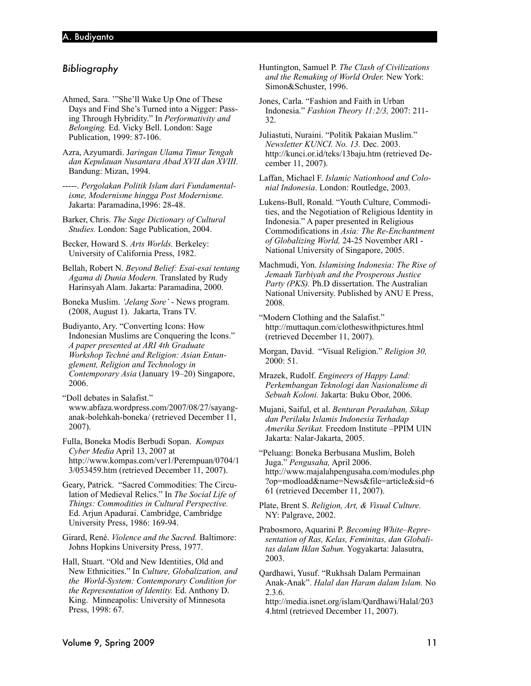# *Bibliography*

Ahmed, Sara. '"She'll Wake Up One of These Days and Find She's Turned into a Nigger: Passing Through Hybridity." In *Performativity and Belonging.* Ed. Vicky Bell. London: Sage Publication, 1999: 87-106.

Azra, Azyumardi. J*aringan Ulama Timur Tengah dan Kepulauan Nusantara Abad XVII dan XVIII.* Bandung: Mizan, 1994.

-----. *Pergolakan Politik Islam dari Fundamentalisme, Modernisme hingga Post Modernisme.* Jakarta: Paramadina,1996: 28-48.

Barker, Chris. *The Sage Dictionary of Cultural Studies.* London: Sage Publication, 2004.

Becker, Howard S. *Arts Worlds.* Berkeley: University of California Press, 1982.

Bellah, Robert N. *Beyond Belief: Esai-esai tentang Agama di Dunia Modern.* Translated by Rudy Harinsyah Alam. Jakarta: Paramadina, 2000.

Boneka Muslim. *'Jelang Sore'* - News program. (2008, August 1). Jakarta, Trans TV.

Budiyanto, Ary. "Converting Icons: How Indonesian Muslims are Conquering the Icons." *A paper presented at ARI 4th Graduate Workshop Techné and Religion: Asian Entanglement, Religion and Technology in Contemporary Asia* (January 19–20) Singapore, 2006.

"Doll debates in Salafist." www.abfaza.wordpress.com/2007/08/27/sayanganak-bolehkah-boneka/ (retrieved December 11, 2007).

Fulla, Boneka Modis Berbudi Sopan. *Kompas Cyber Media* April 13, 2007 at http://www.kompas.com/ver1/Perempuan/0704/1 3/053459.htm (retrieved December 11, 2007).

Geary, Patrick. "Sacred Commodities: The Circulation of Medieval Relics." In *The Social Life of Things: Commodities in Cultural Perspective.* Ed. Arjun Apadurai. Cambridge, Cambridge University Press, 1986: 169-94.

Girard, René. *Violence and the Sacred.* Baltimore: Johns Hopkins University Press, 1977.

Hall, Stuart. "Old and New Identities, Old and New Ethnicities." In *Culture, Globalization, and the World-System: Contemporary Condition for the Representation of Identity.* Ed. Anthony D. King. Minneapolis: University of Minnesota Press, 1998: 67.

Huntington, Samuel P. *The Clash of Civilizations and the Remaking of World Order.* New York: Simon&Schuster, 1996.

Jones, Carla. "Fashion and Faith in Urban Indonesia." *Fashion Theory 11:2/3,* 2007: 211- 32.

Juliastuti, Nuraini. "Politik Pakaian Muslim." *Newsletter KUNCI. No. 13.* Dec. 2003. http://kunci.or.id/teks/13baju.htm (retrieved December 11, 2007).

Laffan, Michael F. *Islamic Nationhood and Colonial Indonesia*. London: Routledge, 2003.

Lukens-Bull, Ronald. "Youth Culture, Commodities, and the Negotiation of Religious Identity in Indonesia." A paper presented in Religious Commodifications in *Asia: The Re-Enchantment of Globalizing World,* 24-25 November ARI - National University of Singapore, 2005.

Machmudi, Yon. *Islamising Indonesia: The Rise of Jemaah Tarbiyah and the Prosperous Justice Party (PKS).* Ph.D dissertation. The Australian National University. Published by ANU E Press, 2008.

"Modern Clothing and the Salafist." http://muttaqun.com/clotheswithpictures.html (retrieved December 11, 2007).

Morgan, David. "Visual Religion." *Religion 30,* 2000: 51.

Mrazek, Rudolf. *Engineers of Happy Land: Perkembangan Teknologi dan Nasionalisme di Sebuah Koloni.* Jakarta: Buku Obor, 2006.

Mujani, Saiful, et al. *Benturan Peradaban, Sikap dan Perilaku Islamis Indonesia Terhadap Amerika Serikat.* Freedom Institute –PPIM UIN Jakarta: Nalar-Jakarta, 2005.

"Peluang: Boneka Berbusana Muslim, Boleh Juga." *Pengusaha,* April 2006. http://www.majalahpengusaha.com/modules.php ?op=modload&name=News&file=article&sid=6 61 (retrieved December 11, 2007).

Plate, Brent S. *Religion, Art, & Visual Culture.*  NY: Palgrave, 2002.

Prabosmoro, Aquarini P. *Becoming White–Representation of Ras, Kelas, Feminitas, dan Globalitas dalam Iklan Sabun.* Yogyakarta: Jalasutra, 2003.

Qardhawi, Yusuf. "Rukhsah Dalam Permainan Anak-Anak". *Halal dan Haram dalam Islam.* No 2.3.6.

http://media.isnet.org/islam/Qardhawi/Halal/203 4.html (retrieved December 11, 2007).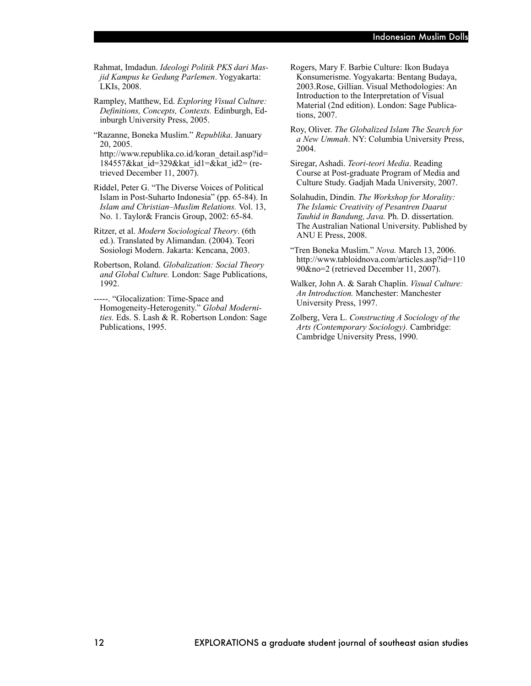Rahmat, Imdadun. *Ideologi Politik PKS dari Masjid Kampus ke Gedung Parlemen*. Yogyakarta: LKIs, 2008.

Rampley, Matthew, Ed. *Exploring Visual Culture: Definitions, Concepts, Contexts.* Edinburgh, Edinburgh University Press, 2005.

"Razanne, Boneka Muslim." *Republika*. January 20, 2005.

http://www.republika.co.id/koran\_detail.asp?id= 184557&kat\_id=329&kat\_id1=&kat\_id2= (retrieved December 11, 2007).

- Riddel, Peter G. "The Diverse Voices of Political Islam in Post-Suharto Indonesia" (pp. 65-84). In *Islam and Christian–Muslim Relations.* Vol. 13, No. 1. Taylor& Francis Group, 2002: 65-84.
- Ritzer, et al. *Modern Sociological Theory*. (6th ed.). Translated by Alimandan. (2004). Teori Sosiologi Modern. Jakarta: Kencana, 2003.
- Robertson, Roland. *Globalization: Social Theory and Global Culture.* London: Sage Publications, 1992.
- -----. "Glocalization: Time-Space and Homogeneity-Heterogenity." *Global Modernities.* Eds. S. Lash & R. Robertson London: Sage Publications, 1995.
- Rogers, Mary F. Barbie Culture: Ikon Budaya Konsumerisme. Yogyakarta: Bentang Budaya, 2003.Rose, Gillian. Visual Methodologies: An Introduction to the Interpretation of Visual Material (2nd edition). London: Sage Publications, 2007.
- Roy, Oliver. *The Globalized Islam The Search for a New Ummah*. NY: Columbia University Press, 2004.
- Siregar, Ashadi. *Teori-teori Media*. Reading Course at Post-graduate Program of Media and Culture Study. Gadjah Mada University, 2007.
- Solahudin, Dindin. *The Workshop for Morality: The Islamic Creativity of Pesantren Daarut Tauhid in Bandung, Java.* Ph. D. dissertation. The Australian National University. Published by ANU E Press, 2008.
- "Tren Boneka Muslim." *Nova.* March 13, 2006. http://www.tabloidnova.com/articles.asp?id=110 90&no=2 (retrieved December 11, 2007).
- Walker, John A. & Sarah Chaplin. *Visual Culture: An Introduction.* Manchester: Manchester University Press, 1997.
- Zolberg, Vera L. *Constructing A Sociology of the Arts (Contemporary Sociology).* Cambridge: Cambridge University Press, 1990.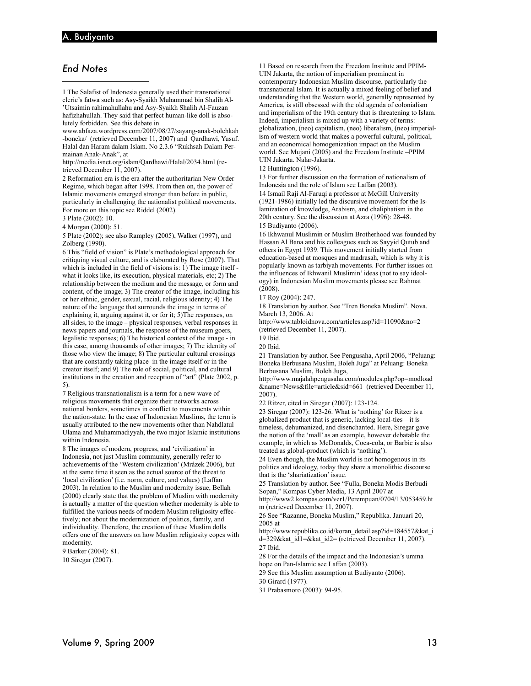# *End Notes*

1 The Salafist of Indonesia generally used their transnational cleric's fatwa such as: Asy-Syaikh Muhammad bin Shalih Al- 'Utsaimin rahimahullahu and Asy-Syaikh Shalih Al-Fauzan hafizhahullah. They said that perfect human-like doll is absolutely forbidden. See this debate in

www.abfaza.wordpress.com/2007/08/27/sayang-anak-bolehkah -boneka/ (retrieved December 11, 2007) and Qardhawi, Yusuf. Halal dan Haram dalam Islam. No 2.3.6 "Rukhsah Dalam Permainan Anak-Anak", at

http://media.isnet.org/islam/Qardhawi/Halal/2034.html (retrieved December 11, 2007).

2 Reformation era is the era after the authoritarian New Order Regime, which began after 1998. From then on, the power of Islamic movements emerged stronger than before in public, particularly in challenging the nationalist political movements. For more on this topic see Riddel (2002).

3 Plate (2002): 10.

4 Morgan (2000): 51.

5 Plate (2002); see also Rampley (2005), Walker (1997), and Zolberg (1990).

6 This "field of vision" is Plate's methodological approach for critiquing visual culture, and is elaborated by Rose (2007). That which is included in the field of visions is: 1) The image itself what it looks like, its execution, physical materials, etc; 2) The relationship between the medium and the message, or form and content, of the image; 3) The creator of the image, including his or her ethnic, gender, sexual, racial, religious identity; 4) The nature of the language that surrounds the image in terms of explaining it, arguing against it, or for it; 5)The responses, on all sides, to the image – physical responses, verbal responses in news papers and journals, the response of the museum goers, legalistic responses; 6) The historical context of the image - in this case, among thousands of other images; 7) The identity of those who view the image; 8) The particular cultural crossings that are constantly taking place–in the image itself or in the creator itself; and 9) The role of social, political, and cultural institutions in the creation and reception of "art" (Plate 2002, p. 5).

7 Religious transnationalism is a term for a new wave of religious movements that organize their networks across national borders, sometimes in conflict to movements within the nation-state. In the case of Indonesian Muslims, the term is usually attributed to the new movements other than Nahdlatul Ulama and Muhammadiyyah, the two major Islamic institutions within Indonesia.

8 The images of modern, progress, and 'civilization' in Indonesia, not just Muslim community, generally refer to achievements of the 'Western civilization' (Mrázek 2006), but at the same time it seen as the actual source of the threat to 'local civilization' (i.e. norm, culture, and values) (Laffan 2003). In relation to the Muslim and modernity issue, Bellah (2000) clearly state that the problem of Muslim with modernity is actually a matter of the question whether modernity is able to fulfilled the various needs of modern Muslim religiosity effectively; not about the modernization of politics, family, and individuality. Therefore, the creation of these Muslim dolls offers one of the answers on how Muslim religiosity copes with modernity.

9 Barker (2004): 81. 10 Siregar (2007).

11 Based on research from the Freedom Institute and PPIM-UIN Jakarta, the notion of imperialism prominent in contemporary Indonesian Muslim discourse, particularly the transnational Islam. It is actually a mixed feeling of belief and understanding that the Western world, generally represented by America, is still obsessed with the old agenda of colonialism and imperialism of the 19th century that is threatening to Islam. Indeed, imperialism is mixed up with a variety of terms: globalization, (neo) capitalism, (neo) liberalism, (neo) imperialism of western world that makes a powerful cultural, political, and an economical homogenization impact on the Muslim world. See Mujani (2005) and the Freedom Institute –PPIM UIN Jakarta. Nalar-Jakarta.

12 Huntington (1996).

13 For further discussion on the formation of nationalism of Indonesia and the role of Islam see Laffan (2003). 14 Ismail Raji Al-Faruqi a professor at McGill University (1921-1986) initially led the discursive movement for the Islamization of knowledge, Arabism, and chaliphatism in the 20th century. See the discussion at Azra (1996): 28-48.

15 Budiyanto (2006).

16 Ikhwanul Muslimin or Muslim Brotherhood was founded by Hassan Al Bana and his colleagues such as Sayyid Qutub and others in Egypt 1939. This movement initially started from education-based at mosques and madrasah, which is why it is popularly known as tarbiyah movements. For further issues on the influences of Ikhwanil Muslimin' ideas (not to say ideology) in Indonesian Muslim movements please see Rahmat (2008).

17 Roy (2004): 247.

18 Translation by author. See "Tren Boneka Muslim". Nova. March 13, 2006. At

http://www.tabloidnova.com/articles.asp?id=11090&no=2 (retrieved December 11, 2007).

19 Ibid.

20 Ibid.

21 Translation by author. See Pengusaha, April 2006, "Peluang: Boneka Berbusana Muslim, Boleh Juga" at Peluang: Boneka Berbusana Muslim, Boleh Juga,

http://www.majalahpengusaha.com/modules.php?op=modload &name=News&file=article&sid=661 (retrieved December 11, 2007).

22 Ritzer, cited in Siregar (2007): 123-124.

23 Siregar (2007): 123-26. What is 'nothing' for Ritzer is a globalized product that is generic, lacking local-ties—it is timeless, dehumanized, and disenchanted. Here, Siregar gave the notion of the 'mall' as an example, however debatable the example, in which as McDonalds, Coca-cola, or Barbie is also treated as global-product (which is 'nothing').

24 Even though, the Muslim world is not homogenous in its politics and ideology, today they share a monolithic discourse that is the 'shariatization' issue.

25 Translation by author. See "Fulla, Boneka Modis Berbudi Sopan," Kompas Cyber Media, 13 April 2007 at

http://www2.kompas.com/ver1/Perempuan/0704/13/053459.ht m (retrieved December 11, 2007).

26 See "Razanne, Boneka Muslim," Republika. Januari 20, 2005 at

http://www.republika.co.id/koran\_detail.asp?id=184557&kat\_i d=329&kat\_id1=&kat\_id2= (retrieved December 11, 2007). 27 Ibid.

28 For the details of the impact and the Indonesian's umma hope on Pan-Islamic see Laffan (2003).

29 See this Muslim assumption at Budiyanto (2006).

30 Girard (1977).

31 Prabasmoro (2003): 94-95.